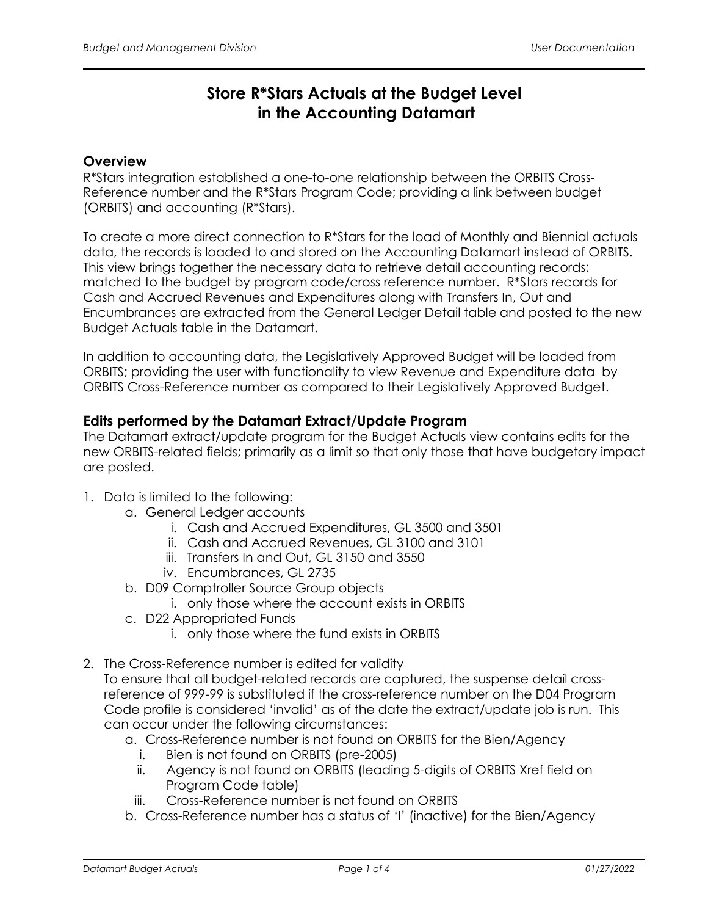# **Store R\*Stars Actuals at the Budget Level in the Accounting Datamart**

## **Overview**

R\*Stars integration established a one-to-one relationship between the ORBITS Cross-Reference number and the R\*Stars Program Code; providing a link between budget (ORBITS) and accounting (R\*Stars).

To create a more direct connection to R\*Stars for the load of Monthly and Biennial actuals data, the records is loaded to and stored on the Accounting Datamart instead of ORBITS. This view brings together the necessary data to retrieve detail accounting records; matched to the budget by program code/cross reference number. R\*Stars records for Cash and Accrued Revenues and Expenditures along with Transfers In, Out and Encumbrances are extracted from the General Ledger Detail table and posted to the new Budget Actuals table in the Datamart.

In addition to accounting data, the Legislatively Approved Budget will be loaded from ORBITS; providing the user with functionality to view Revenue and Expenditure data by ORBITS Cross-Reference number as compared to their Legislatively Approved Budget.

#### **Edits performed by the Datamart Extract/Update Program**

The Datamart extract/update program for the Budget Actuals view contains edits for the new ORBITS-related fields; primarily as a limit so that only those that have budgetary impact are posted.

- 1. Data is limited to the following:
	- a. General Ledger accounts
		- i. Cash and Accrued Expenditures, GL 3500 and 3501
		- ii. Cash and Accrued Revenues, GL 3100 and 3101
		- iii. Transfers In and Out, GL 3150 and 3550
		- iv. Encumbrances, GL 2735
	- b. D09 Comptroller Source Group objects
		- i. only those where the account exists in ORBITS
	- c. D22 Appropriated Funds
		- i. only those where the fund exists in ORBITS
- 2. The Cross-Reference number is edited for validity To ensure that all budget-related records are captured, the suspense detail crossreference of 999-99 is substituted if the cross-reference number on the D04 Program Code profile is considered 'invalid' as of the date the extract/update job is run. This can occur under the following circumstances:
	- a. Cross-Reference number is not found on ORBITS for the Bien/Agency
		- i. Bien is not found on ORBITS (pre-2005)
		- ii. Agency is not found on ORBITS (leading 5-digits of ORBITS Xref field on Program Code table)
		- iii. Cross-Reference number is not found on ORBITS
	- b. Cross-Reference number has a status of 'I' (inactive) for the Bien/Agency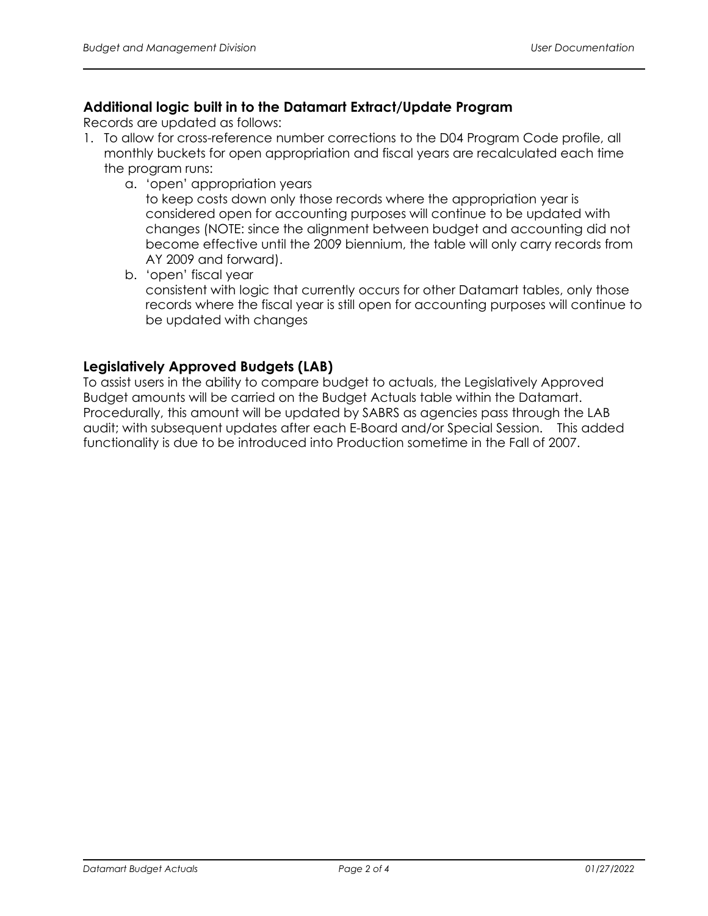# **Additional logic built in to the Datamart Extract/Update Program**

Records are updated as follows:

- 1. To allow for cross-reference number corrections to the D04 Program Code profile, all monthly buckets for open appropriation and fiscal years are recalculated each time the program runs:
	- a. 'open' appropriation years

to keep costs down only those records where the appropriation year is considered open for accounting purposes will continue to be updated with changes (NOTE: since the alignment between budget and accounting did not become effective until the 2009 biennium, the table will only carry records from AY 2009 and forward).

b. 'open' fiscal year consistent with logic that currently occurs for other Datamart tables, only those records where the fiscal year is still open for accounting purposes will continue to be updated with changes

## **Legislatively Approved Budgets (LAB)**

To assist users in the ability to compare budget to actuals, the Legislatively Approved Budget amounts will be carried on the Budget Actuals table within the Datamart. Procedurally, this amount will be updated by SABRS as agencies pass through the LAB audit; with subsequent updates after each E-Board and/or Special Session. This added functionality is due to be introduced into Production sometime in the Fall of 2007.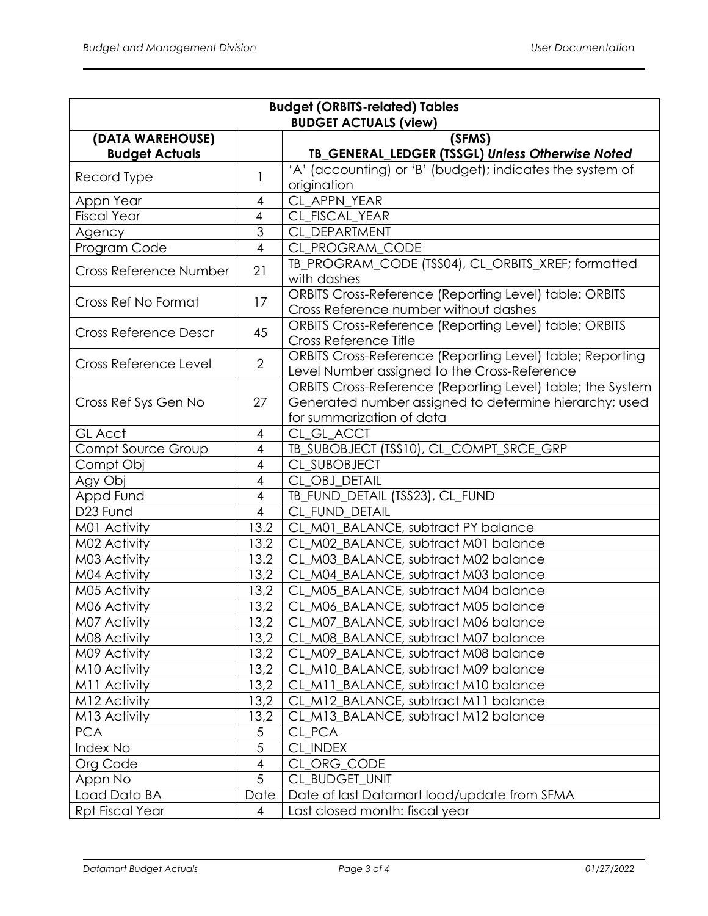| <b>Budget (ORBITS-related) Tables</b>     |                          |                                                                                                                                                   |  |
|-------------------------------------------|--------------------------|---------------------------------------------------------------------------------------------------------------------------------------------------|--|
| <b>BUDGET ACTUALS (view)</b>              |                          |                                                                                                                                                   |  |
| (DATA WAREHOUSE)<br><b>Budget Actuals</b> |                          | (SFMS)<br>TB_GENERAL_LEDGER (TSSGL) Unless Otherwise Noted                                                                                        |  |
| Record Type                               | 1                        | 'A' (accounting) or 'B' (budget); indicates the system of<br>origination                                                                          |  |
| Appn Year                                 | 4                        | CL APPN YEAR                                                                                                                                      |  |
| <b>Fiscal Year</b>                        | $\overline{4}$           | CL_FISCAL_YEAR                                                                                                                                    |  |
| Agency                                    | $\overline{3}$           | CL DEPARTMENT                                                                                                                                     |  |
| Program Code                              | $\overline{\mathcal{A}}$ | CL_PROGRAM_CODE                                                                                                                                   |  |
| Cross Reference Number                    | 21                       | TB_PROGRAM_CODE (TSS04), CL_ORBITS_XREF; formatted<br>with dashes                                                                                 |  |
| Cross Ref No Format                       | 17                       | <b>ORBITS Cross-Reference (Reporting Level) table: ORBITS</b><br>Cross Reference number without dashes                                            |  |
| <b>Cross Reference Descr</b>              | 45                       | ORBITS Cross-Reference (Reporting Level) table; ORBITS<br>Cross Reference Title                                                                   |  |
| Cross Reference Level                     | $\overline{2}$           | ORBITS Cross-Reference (Reporting Level) table; Reporting<br>Level Number assigned to the Cross-Reference                                         |  |
| Cross Ref Sys Gen No                      | 27                       | ORBITS Cross-Reference (Reporting Level) table; the System<br>Generated number assigned to determine hierarchy; used<br>for summarization of data |  |
| <b>GL Acct</b>                            | 4                        | CL_GL_ACCT                                                                                                                                        |  |
| Compt Source Group                        | 4                        | TB_SUBOBJECT (TSS10), CL_COMPT_SRCE_GRP                                                                                                           |  |
| Compt Obj                                 | 4                        | CL_SUBOBJECT                                                                                                                                      |  |
| Agy Obj                                   | 4                        | CL OBJ DETAIL                                                                                                                                     |  |
| Appd Fund                                 | 4                        | TB_FUND_DETAIL (TSS23), CL_FUND                                                                                                                   |  |
| D23 Fund                                  | $\overline{4}$           | CL FUND DETAIL                                                                                                                                    |  |
| M01 Activity                              | 13.2                     | CL_M01_BALANCE, subtract PY balance                                                                                                               |  |
| M02 Activity                              | 13.2                     | CL_M02_BALANCE, subtract M01 balance                                                                                                              |  |
| M03 Activity                              | 13.2                     | M03_BALANCE, subtract M02 balance<br><b>CL</b>                                                                                                    |  |
| M04 Activity                              | 13,2                     | CL_M04_BALANCE, subtract M03 balance                                                                                                              |  |
| M05 Activity                              | 13,2                     | CL M05 BALANCE, subtract M04 balance                                                                                                              |  |
| M06 Activity                              | 13,2                     | CL_M06_BALANCE, subtract M05 balance                                                                                                              |  |
| M07 Activity                              | 13,2                     | CL_M07_BALANCE, subtract M06 balance                                                                                                              |  |
| M08 Activity                              | 13,2                     | M08 BALANCE, subtract M07 balance<br><b>CL</b>                                                                                                    |  |
| M09 Activity                              | 13,2                     | M09 BALANCE, subtract M08 balance<br><b>CL</b>                                                                                                    |  |
| M10 Activity                              | 13,2                     | M10_BALANCE, subtract M09 balance<br>CL                                                                                                           |  |
| M11 Activity                              | 13,2                     | M11 BALANCE, subtract M10 balance<br>CL                                                                                                           |  |
| M12 Activity                              | 13,2                     | M12_BALANCE, subtract M11 balance<br><b>CL</b>                                                                                                    |  |
| M13 Activity                              | 13,2                     | CL_M13_BALANCE, subtract M12 balance                                                                                                              |  |
| <b>PCA</b>                                | 5                        | CL PCA                                                                                                                                            |  |
| Index No                                  | $\overline{5}$           | CL INDEX                                                                                                                                          |  |
| Org Code                                  | $\overline{4}$           | CL ORG_CODE                                                                                                                                       |  |
| Appn No                                   | $\overline{5}$           | CL_BUDGET_UNIT                                                                                                                                    |  |
| Load Data BA                              | Date                     | Date of last Datamart load/update from SFMA                                                                                                       |  |
| <b>Rpt Fiscal Year</b>                    | 4                        | Last closed month: fiscal year                                                                                                                    |  |